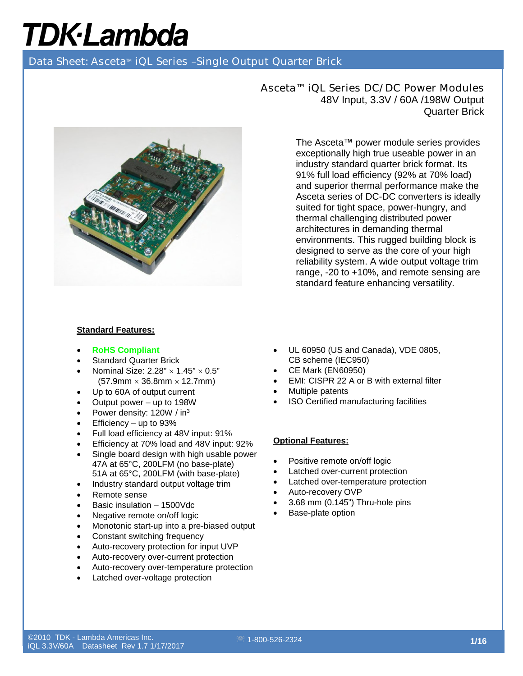Data Sheet: Asceta<sup>™</sup> iQL Series -Single Output Quarter Brick



Asceta™ iQL Series DC/DC Power Modules 48V Input, 3.3V / 60A /198W Output Quarter Brick

> The Asceta™ power module series provides exceptionally high true useable power in an industry standard quarter brick format. Its 91% full load efficiency (92% at 70% load) and superior thermal performance make the Asceta series of DC-DC converters is ideally suited for tight space, power-hungry, and thermal challenging distributed power architectures in demanding thermal environments. This rugged building block is designed to serve as the core of your high reliability system. A wide output voltage trim range, -20 to +10%, and remote sensing are standard feature enhancing versatility.

#### **Standard Features:**

- **RoHS Compliant**
- **Standard Quarter Brick**
- Nominal Size:  $2.28" \times 1.45" \times 0.5"$  $(57.9$ mm  $\times$  36.8mm  $\times$  12.7mm)
- Up to 60A of output current
- Output power up to 198W
- Power density: 120W / in<sup>3</sup>
- Efficiency up to 93%
- Full load efficiency at 48V input: 91%
- Efficiency at 70% load and 48V input: 92%
- Single board design with high usable power 47A at 65°C, 200LFM (no base-plate) 51A at 65°C, 200LFM (with base-plate)
- Industry standard output voltage trim
- Remote sense
- Basic insulation 1500Vdc
- Negative remote on/off logic
- Monotonic start-up into a pre-biased output
- Constant switching frequency
- Auto-recovery protection for input UVP
- Auto-recovery over-current protection
- Auto-recovery over-temperature protection
- Latched over-voltage protection
- UL 60950 (US and Canada), VDE 0805, CB scheme (IEC950)
- CE Mark (EN60950)
- EMI: CISPR 22 A or B with external filter
- Multiple patents
- ISO Certified manufacturing facilities

#### **Optional Features:**

- Positive remote on/off logic
- Latched over-current protection
- Latched over-temperature protection
- Auto-recovery OVP
- 3.68 mm (0.145") Thru-hole pins
- Base-plate option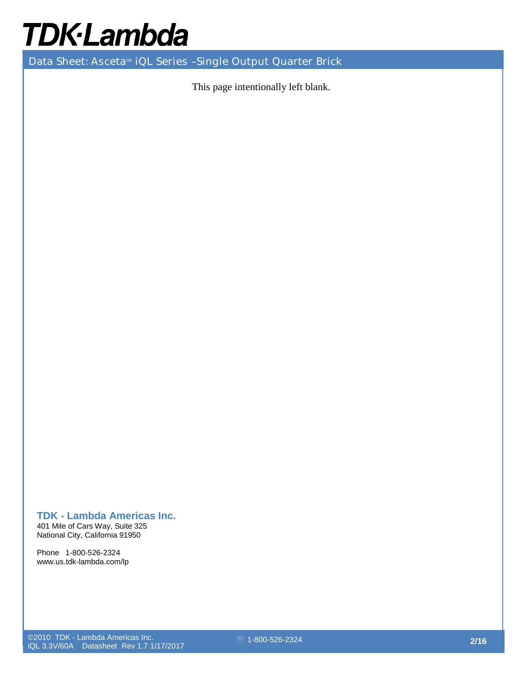Data Sheet: Asceta<sup>™</sup> iQL Series -Single Output Quarter Brick

This page intentionally left blank.

### **TDK - Lambda Americas Inc.**

401 Mile of Cars Way, Suite 325 National City, California 91950

Phone 1-800-526-2324 www.us.tdk-lambda.com/lp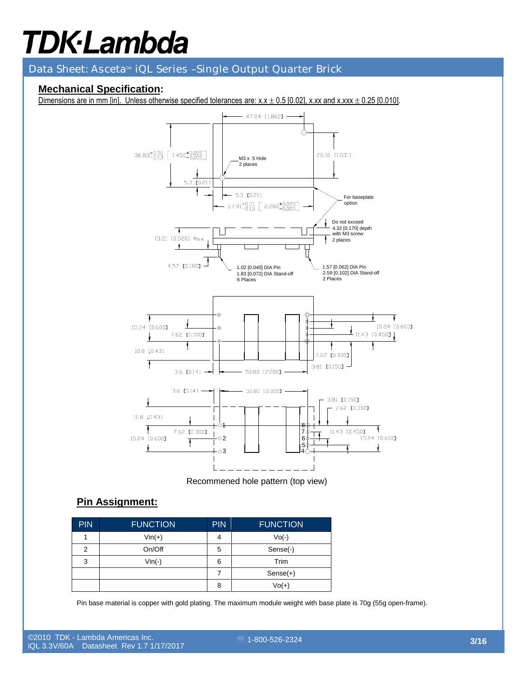Data Sheet: Asceta<sup>™</sup> iQL Series -Single Output Quarter Brick

### **Mechanical Specification:**

Dimensions are in mm [in]. Unless otherwise specified tolerances are:  $x.x \pm 0.5$  [0.02], x.xx and x.xxx  $\pm$  0.25 [0.010].



Recommened hole pattern (top view)

### **Pin Assignment:**

| <b>PIN</b> | <b>FUNCTION</b> | <b>PIN</b>               | <b>FUNCTION</b> |
|------------|-----------------|--------------------------|-----------------|
|            | $Vin(+)$        | 4                        | $Vo(-)$         |
| 2          | On/Off          | 5                        | Sense(-)        |
| 3          | $Vin(-)$        | 6                        | Trim            |
|            |                 | $\overline{\phantom{a}}$ | $Sense(+)$      |
|            |                 | 8                        | $Vol(+)$        |

Pin base material is copper with gold plating. The maximum module weight with base plate is 70g (55g open-frame).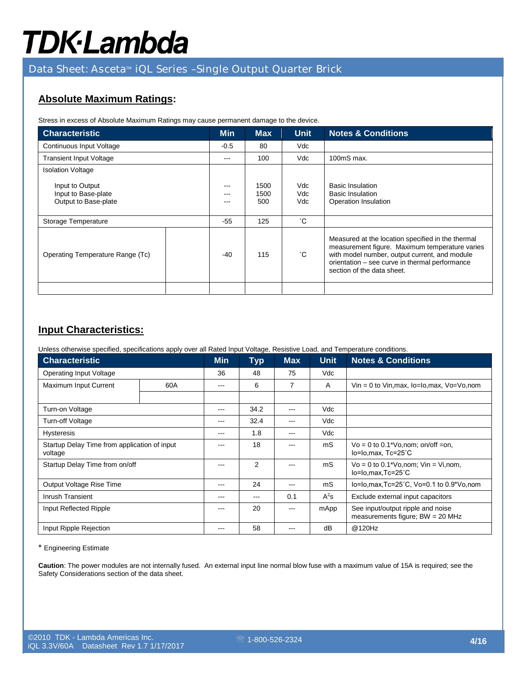### Data Sheet: Asceta<sup>™</sup> iQL Series -Single Output Quarter Brick

### **Absolute Maximum Ratings:**

Stress in excess of Absolute Maximum Ratings may cause permanent damage to the device.

| <b>Characteristic</b>                                          | <b>Min</b> | <b>Max</b> | <b>Unit</b>         | <b>Notes &amp; Conditions</b> |                                                                                                                                                                                                                                      |
|----------------------------------------------------------------|------------|------------|---------------------|-------------------------------|--------------------------------------------------------------------------------------------------------------------------------------------------------------------------------------------------------------------------------------|
| Continuous Input Voltage                                       | $-0.5$     | 80         | Vdc                 |                               |                                                                                                                                                                                                                                      |
| <b>Transient Input Voltage</b>                                 | ---        | 100        | Vdc                 | 100mS max.                    |                                                                                                                                                                                                                                      |
| <b>Isolation Voltage</b>                                       |            |            |                     |                               |                                                                                                                                                                                                                                      |
| Input to Output<br>Input to Base-plate<br>Output to Base-plate |            | ---        | 1500<br>1500<br>500 | Vdc<br>Vdc<br>Vdc             | <b>Basic Insulation</b><br><b>Basic Insulation</b><br>Operation Insulation                                                                                                                                                           |
| Storage Temperature                                            |            | $-55$      | 125                 | °С                            |                                                                                                                                                                                                                                      |
| Operating Temperature Range (Tc)                               |            | $-40$      | 115                 | $^{\circ}$ C                  | Measured at the location specified in the thermal<br>measurement figure. Maximum temperature varies<br>with model number, output current, and module<br>orientation - see curve in thermal performance<br>section of the data sheet. |
|                                                                |            |            |                     |                               |                                                                                                                                                                                                                                      |

### **Input Characteristics:**

Unless otherwise specified, specifications apply over all Rated Input Voltage, Resistive Load, and Temperature conditions.

| <b>Characteristic</b>                                   | <b>Min</b> | <b>Typ</b> | <b>Max</b>     | <b>Unit</b> | <b>Notes &amp; Conditions</b> |                                                                         |
|---------------------------------------------------------|------------|------------|----------------|-------------|-------------------------------|-------------------------------------------------------------------------|
| Operating Input Voltage                                 |            | 36         | 48             | 75          | Vdc                           |                                                                         |
| Maximum Input Current                                   | 60A        | ---        | 6              | 7           | A                             | $V$ in = 0 to Vin, max, $I_0$ = $I_0$ , max, $V_0 = V_0$ , nom          |
|                                                         |            |            |                |             |                               |                                                                         |
| Turn-on Voltage                                         |            | ---        | 34.2           | $- - -$     | Vdc                           |                                                                         |
| Turn-off Voltage                                        |            | ---        | 32.4           |             | Vdc                           |                                                                         |
| <b>Hysteresis</b>                                       | ---        | 1.8        |                | Vdc         |                               |                                                                         |
| Startup Delay Time from application of input<br>voltage |            | ---        | 18             |             | mS                            | $Vo = 0$ to 0.1*Vo, nom; on/off = on,<br>lo=lo,max, Tc=25°C             |
| Startup Delay Time from on/off                          |            |            | $\overline{2}$ |             | mS                            | $Vo = 0$ to 0.1*Vo, nom; $ Vin = Vi$ , nom,<br>lo=lo,max,Tc=25°C        |
| Output Voltage Rise Time                                |            | ---        | 24             | $- - -$     | mS                            | lo=lo,max,Tc=25°C, Vo=0.1 to 0.9*Vo,nom                                 |
| Inrush Transient                                        |            | ---        | ---            | 0.1         | $A^2s$                        | Exclude external input capacitors                                       |
| Input Reflected Ripple                                  |            | ---        | 20             | ---         | mApp                          | See input/output ripple and noise<br>measurements figure; $BW = 20 MHz$ |
| Input Ripple Rejection                                  |            | ---        | 58             | ---         | dB                            | @120Hz                                                                  |

\* Engineering Estimate

**Caution**: The power modules are not internally fused. An external input line normal blow fuse with a maximum value of 15A is required; see the Safety Considerations section of the data sheet.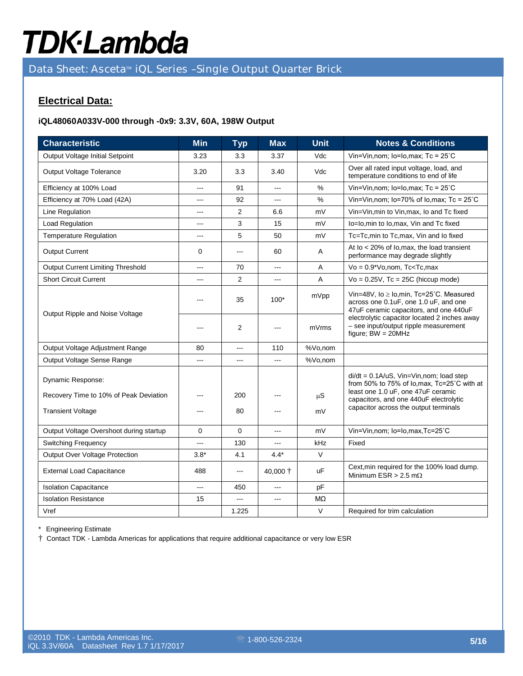Data Sheet: Asceta™ iQL Series -Single Output Quarter Brick

### **Electrical Data:**

#### **iQL48060A033V-000 through -0x9: 3.3V, 60A, 198W Output**

| <b>Characteristic</b>                    | <b>Min</b>     | <b>Typ</b>     | <b>Max</b>     | <b>Unit</b> | <b>Notes &amp; Conditions</b>                                                                                              |  |
|------------------------------------------|----------------|----------------|----------------|-------------|----------------------------------------------------------------------------------------------------------------------------|--|
| Output Voltage Initial Setpoint          | 3.23           | 3.3            | 3.37           | Vdc         | Vin=Vin, nom; lo=Io, max; $Tc = 25^{\circ}C$                                                                               |  |
| Output Voltage Tolerance                 | 3.20           | 3.3            | 3.40           | Vdc         | Over all rated input voltage, load, and<br>temperature conditions to end of life                                           |  |
| Efficiency at 100% Load                  | ---            | 91             | $---$          | $\%$        | Vin=Vin, nom; $lo=Io, max$ ; Tc = $25^{\circ}$ C                                                                           |  |
| Efficiency at 70% Load (42A)             | ---            | 92             |                | $\%$        | Vin=Vin, nom; lo=70% of lo, max; Tc = $25^{\circ}$ C                                                                       |  |
| Line Regulation                          | ---            | 2              | 6.6            | mV          | Vin=Vin, min to Vin, max, Io and Tc fixed                                                                                  |  |
| Load Regulation                          | ---            | 3              | 15             | mV          | lo=lo,min to lo,max, Vin and Tc fixed                                                                                      |  |
| <b>Temperature Regulation</b>            | ---            | 5              | 50             | mV          | Tc=Tc,min to Tc,max, Vin and Io fixed                                                                                      |  |
| <b>Output Current</b>                    | 0              | ---            | 60             | A           | At $I_0$ < 20% of $I_0$ , max, the load transient<br>performance may degrade slightly                                      |  |
| <b>Output Current Limiting Threshold</b> | $\overline{a}$ | 70             | $-$            | A           | $Vo = 0.9*Vo$ , nom, Tc <tc, max<="" td=""></tc,>                                                                          |  |
| <b>Short Circuit Current</b>             | ---            | $\overline{2}$ | ---            | A           | $Vo = 0.25V$ , Tc = 25C (hiccup mode)                                                                                      |  |
| Output Ripple and Noise Voltage          |                | 35             | $100*$         | mVpp        | Vin=48V, lo ≥ lo,min, Tc=25°C. Measured<br>across one 0.1uF, one 1.0 uF, and one<br>47uF ceramic capacitors, and one 440uF |  |
|                                          |                | $\overline{2}$ | ---            | mVrms       | electrolytic capacitor located 2 inches away<br>- see input/output ripple measurement<br>figure; $BW = 20MHz$              |  |
| Output Voltage Adjustment Range          | 80             | ---            | 110            | %Vo,nom     |                                                                                                                            |  |
| Output Voltage Sense Range               | ---            | $---$          | ---            | %Vo,nom     |                                                                                                                            |  |
| Dynamic Response:                        |                |                |                |             | $di/dt = 0.1A/uS$ , Vin=Vin, nom; load step<br>from 50% to 75% of lo, max, Tc=25°C with at                                 |  |
| Recovery Time to 10% of Peak Deviation   |                | 200            |                | $\mu S$     | least one 1.0 uF, one 47uF ceramic<br>capacitors, and one 440uF electrolytic<br>capacitor across the output terminals      |  |
| <b>Transient Voltage</b>                 |                | 80             | ---            | mV          |                                                                                                                            |  |
| Output Voltage Overshoot during startup  | $\mathbf 0$    | $\Omega$       | ---            | mV          | Vin=Vin,nom; lo=lo,max,Tc=25°C                                                                                             |  |
| <b>Switching Frequency</b>               | ---            | 130            | ---            | kHz         | Fixed                                                                                                                      |  |
| Output Over Voltage Protection           | $3.8*$         | 4.1            | $4.4*$         | $\vee$      |                                                                                                                            |  |
| <b>External Load Capacitance</b>         | 488            | ---            | 40,000 †       | <b>uF</b>   | Cext, min required for the 100% load dump.<br>Minimum ESR > 2.5 m $\Omega$                                                 |  |
| <b>Isolation Capacitance</b>             | $\sim$         | 450            | $\sim$         | pF          |                                                                                                                            |  |
| <b>Isolation Resistance</b>              | 15             | ---            | $\overline{a}$ | MΩ          |                                                                                                                            |  |
| Vref                                     |                | 1.225          |                | $\vee$      | Required for trim calculation                                                                                              |  |

\* Engineering Estimate

† Contact TDK - Lambda Americas for applications that require additional capacitance or very low ESR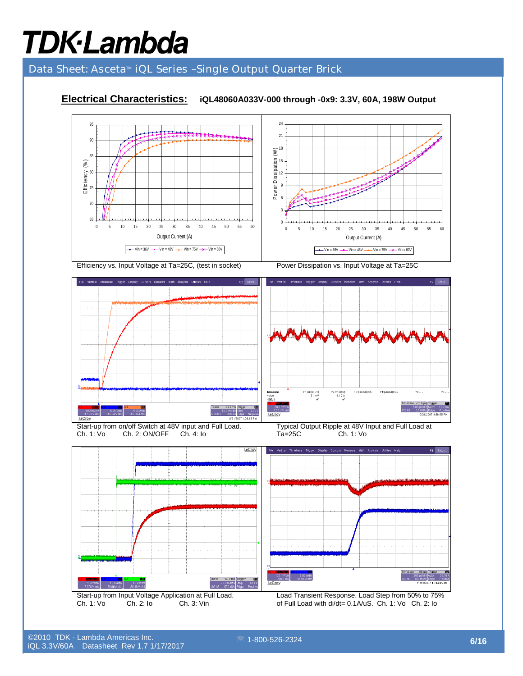### Data Sheet: Asceta<sup>™</sup> iQL Series -Single Output Quarter Brick

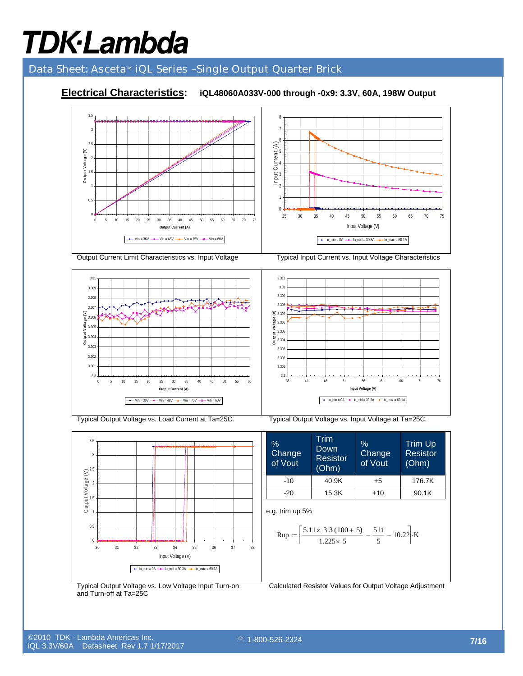### Data Sheet: Asceta<sup>™</sup> iQL Series -Single Output Quarter Brick

### **Electrical Characteristics: iQL48060A033V-000 through -0x9: 3.3V, 60A, 198W Output**





Output Current Limit Characteristics vs. Input Voltage Typical Input Current vs. Input Voltage Characteristics



 $\mathbf{0}$ 0.5 1 1.5  $\overline{2}$  $\widehat{\ge}^{2.5}$ 3 3.5 30 31 32 33 34 35 36 37 38 Input Voltage (V) Output Voltage  $\sum_{i=1}^{N}$  older  $\sum_{i=1}^{N}$  $\boxed{\rightarrow -$  Io\_min = 0A  $\rightarrow -$  Io\_mid = 30.3A  $\rightarrow -$  Io\_max = 60.1A

Typical Output Voltage vs. Load Current at Ta=25C. Typical Output Voltage vs. Input Voltage at Ta=25C.



$$
\text{Rup} := \left[ \frac{5.11 \times 3.3 \cdot (100 + 5)}{1.225 \times 5} - \frac{511}{5} - 10.22 \right] \cdot \text{K}
$$

Typical Output Voltage vs. Low Voltage Input Turn-on and Turn-off at Ta=25C

Calculated Resistor Values for Output Voltage Adjustment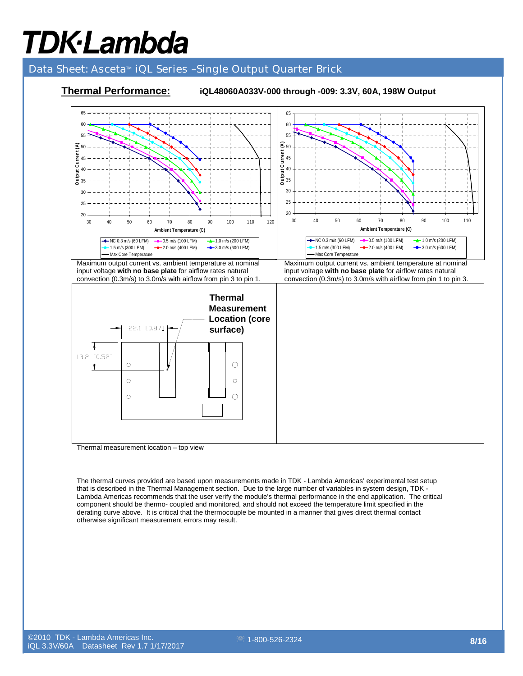#### Data Sheet: Asceta<sup>™</sup> iQL Series -Single Output Quarter Brick



Thermal measurement location – top view

The thermal curves provided are based upon measurements made in TDK - Lambda Americas' experimental test setup that is described in the Thermal Management section. Due to the large number of variables in system design, TDK - Lambda Americas recommends that the user verify the module's thermal performance in the end application. The critical component should be thermo- coupled and monitored, and should not exceed the temperature limit specified in the derating curve above. It is critical that the thermocouple be mounted in a manner that gives direct thermal contact otherwise significant measurement errors may result.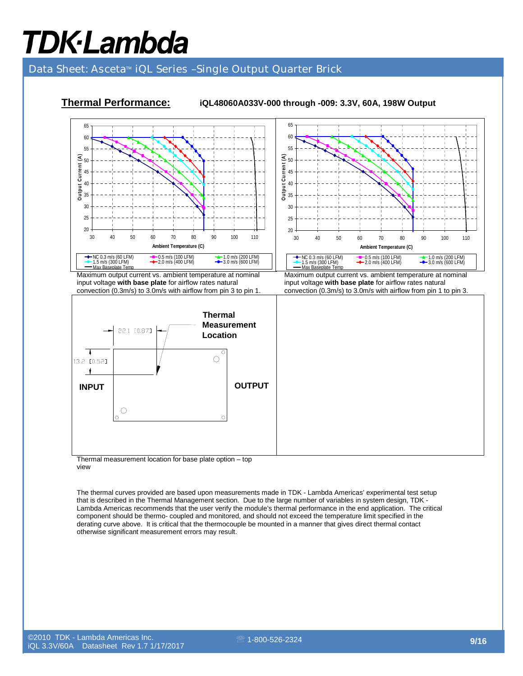### Data Sheet: Asceta<sup>™</sup> iQL Series -Single Output Quarter Brick



**Thermal Performance: iQL48060A033V-000 through -009: 3.3V, 60A, 198W Output** 

Thermal measurement location for base plate option – top view

The thermal curves provided are based upon measurements made in TDK - Lambda Americas' experimental test setup that is described in the Thermal Management section. Due to the large number of variables in system design, TDK - Lambda Americas recommends that the user verify the module's thermal performance in the end application. The critical component should be thermo- coupled and monitored, and should not exceed the temperature limit specified in the derating curve above. It is critical that the thermocouple be mounted in a manner that gives direct thermal contact otherwise significant measurement errors may result.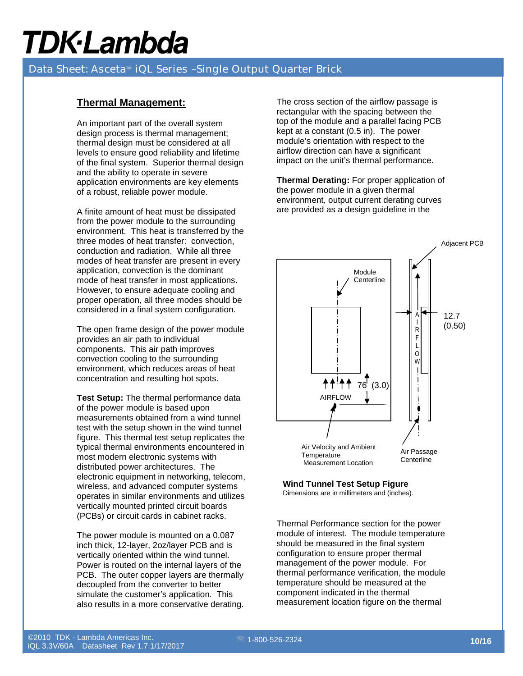### Data Sheet: Asceta<sup>™</sup> iQL Series -Single Output Quarter Brick

#### **Thermal Management:**

An important part of the overall system design process is thermal management; thermal design must be considered at all levels to ensure good reliability and lifetime of the final system. Superior thermal design and the ability to operate in severe application environments are key elements of a robust, reliable power module.

A finite amount of heat must be dissipated from the power module to the surrounding environment. This heat is transferred by the three modes of heat transfer: convection, conduction and radiation. While all three modes of heat transfer are present in every application, convection is the dominant mode of heat transfer in most applications. However, to ensure adequate cooling and proper operation, all three modes should be considered in a final system configuration.

The open frame design of the power module provides an air path to individual components. This air path improves convection cooling to the surrounding environment, which reduces areas of heat concentration and resulting hot spots.

**Test Setup:** The thermal performance data of the power module is based upon measurements obtained from a wind tunnel test with the setup shown in the wind tunnel figure. This thermal test setup replicates the typical thermal environments encountered in most modern electronic systems with distributed power architectures. The electronic equipment in networking, telecom, wireless, and advanced computer systems operates in similar environments and utilizes vertically mounted printed circuit boards (PCBs) or circuit cards in cabinet racks.

The power module is mounted on a 0.087 inch thick, 12-layer, 2oz/layer PCB and is vertically oriented within the wind tunnel. Power is routed on the internal layers of the PCB. The outer copper layers are thermally decoupled from the converter to better simulate the customer's application. This also results in a more conservative derating.

The cross section of the airflow passage is rectangular with the spacing between the top of the module and a parallel facing PCB kept at a constant (0.5 in). The power module's orientation with respect to the airflow direction can have a significant impact on the unit's thermal performance.

**Thermal Derating:** For proper application of the power module in a given thermal environment, output current derating curves are provided as a design guideline in the



### **Wind Tunnel Test Setup Figure**

Dimensions are in millimeters and (inches).

Thermal Performance section for the power module of interest. The module temperature should be measured in the final system configuration to ensure proper thermal management of the power module. For thermal performance verification, the module temperature should be measured at the component indicated in the thermal measurement location figure on the thermal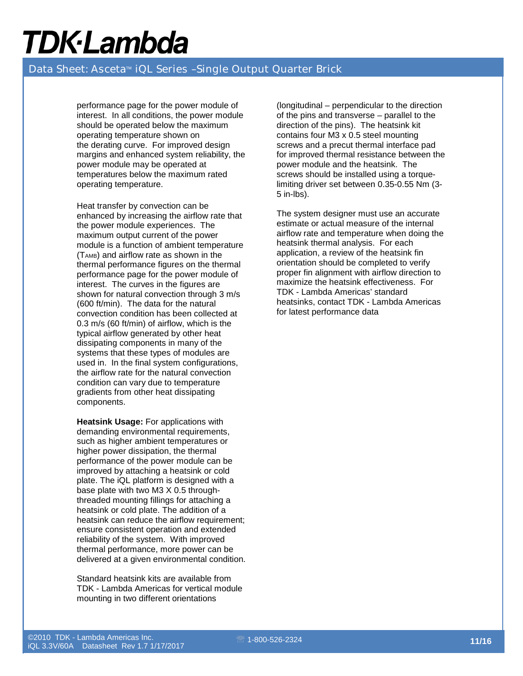### Data Sheet: Asceta<sup>™</sup> iQL Series -Single Output Quarter Brick

performance page for the power module of interest. In all conditions, the power module should be operated below the maximum operating temperature shown on the derating curve. For improved design margins and enhanced system reliability, the power module may be operated at temperatures below the maximum rated operating temperature.

Heat transfer by convection can be enhanced by increasing the airflow rate that the power module experiences. The maximum output current of the power module is a function of ambient temperature  $(T<sub>AMB</sub>)$  and airflow rate as shown in the thermal performance figures on the thermal performance page for the power module of interest. The curves in the figures are shown for natural convection through 3 m/s (600 ft/min). The data for the natural convection condition has been collected at 0.3 m/s (60 ft/min) of airflow, which is the typical airflow generated by other heat dissipating components in many of the systems that these types of modules are used in. In the final system configurations, the airflow rate for the natural convection condition can vary due to temperature gradients from other heat dissipating components.

**Heatsink Usage: For applications with** demanding environmental requirements, such as higher ambient temperatures or higher power dissipation, the thermal performance of the power module can be improved by attaching a heatsink or cold plate. The iQL platform is designed with a base plate with two M3 X 0.5 throughthreaded mounting fillings for attaching a heatsink or cold plate. The addition of a heatsink can reduce the airflow requirement; ensure consistent operation and extended reliability of the system. With improved thermal performance, more power can be delivered at a given environmental condition.

Standard heatsink kits are available from TDK - Lambda Americas for vertical module mounting in two different orientations

(longitudinal – perpendicular to the direction of the pins and transverse – parallel to the direction of the pins). The heatsink kit contains four M3 x 0.5 steel mounting screws and a precut thermal interface pad for improved thermal resistance between the power module and the heatsink. The screws should be installed using a torquelimiting driver set between 0.35-0.55 Nm (3- 5 in-lbs).

The system designer must use an accurate estimate or actual measure of the internal airflow rate and temperature when doing the heatsink thermal analysis. For each application, a review of the heatsink fin orientation should be completed to verify proper fin alignment with airflow direction to maximize the heatsink effectiveness. For TDK - Lambda Americas' standard heatsinks, contact TDK - Lambda Americas for latest performance data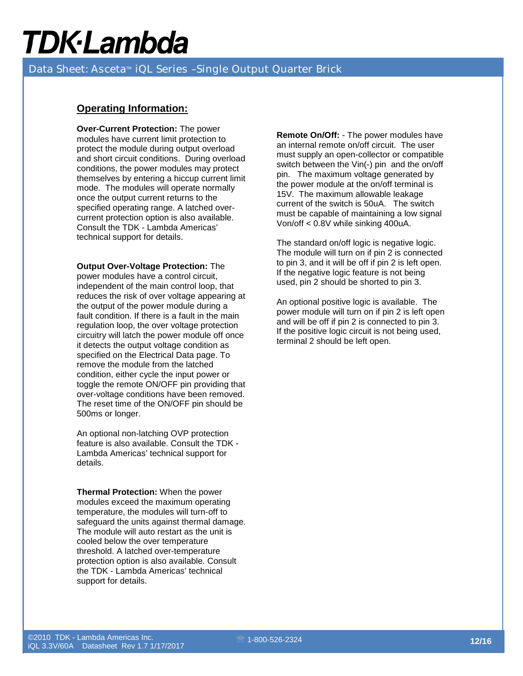Data Sheet: Asceta<sup>™</sup> iQL Series -Single Output Quarter Brick

#### **Operating Information:**

**Over-Current Protection:** The power modules have current limit protection to protect the module during output overload and short circuit conditions. During overload conditions, the power modules may protect themselves by entering a hiccup current limit mode. The modules will operate normally once the output current returns to the specified operating range. A latched overcurrent protection option is also available. Consult the TDK - Lambda Americas' technical support for details.

**Output Over-Voltage Protection:** The power modules have a control circuit, independent of the main control loop, that reduces the risk of over voltage appearing at the output of the power module during a fault condition. If there is a fault in the main regulation loop, the over voltage protection circuitry will latch the power module off once it detects the output voltage condition as specified on the Electrical Data page. To remove the module from the latched condition, either cycle the input power or toggle the remote ON/OFF pin providing that over-voltage conditions have been removed. The reset time of the ON/OFF pin should be 500ms or longer.

An optional non-latching OVP protection feature is also available. Consult the TDK - Lambda Americas' technical support for details.

**Thermal Protection:** When the power modules exceed the maximum operating temperature, the modules will turn-off to safeguard the units against thermal damage. The module will auto restart as the unit is cooled below the over temperature threshold. A latched over-temperature protection option is also available. Consult the TDK - Lambda Americas' technical support for details.

**Remote On/Off:** - The power modules have an internal remote on/off circuit. The user must supply an open-collector or compatible switch between the Vin(-) pin and the on/off pin. The maximum voltage generated by the power module at the on/off terminal is 15V. The maximum allowable leakage current of the switch is 50uA. The switch must be capable of maintaining a low signal Von/off < 0.8V while sinking 400uA.

The standard on/off logic is negative logic. The module will turn on if pin 2 is connected to pin 3, and it will be off if pin 2 is left open. If the negative logic feature is not being used, pin 2 should be shorted to pin 3.

An optional positive logic is available. The power module will turn on if pin 2 is left open and will be off if pin 2 is connected to pin 3. If the positive logic circuit is not being used, terminal 2 should be left open.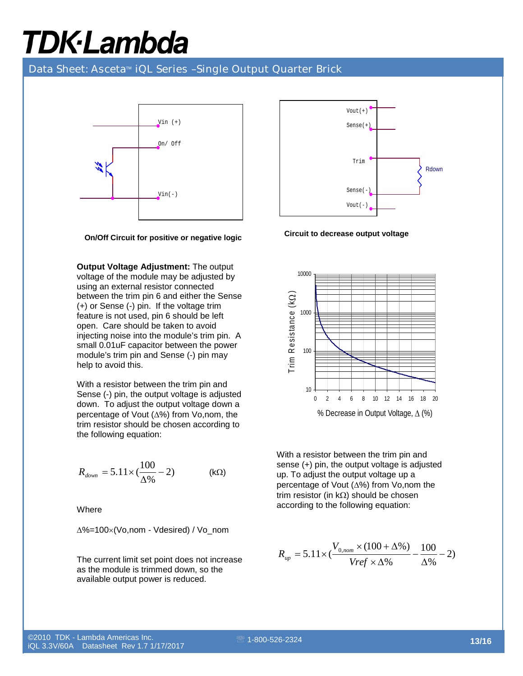#### Data Sheet: Asceta<sup>™</sup> iQL Series -Single Output Quarter Brick



**On/Off Circuit for positive or negative logic** 

**Output Voltage Adjustment:** The output voltage of the module may be adjusted by using an external resistor connected between the trim pin 6 and either the Sense (+) or Sense (-) pin. If the voltage trim feature is not used, pin 6 should be left open. Care should be taken to avoid injecting noise into the module's trim pin. A small 0.01uF capacitor between the power module's trim pin and Sense (-) pin may help to avoid this.

With a resistor between the trim pin and Sense (-) pin, the output voltage is adjusted down. To adjust the output voltage down a percentage of Vout (∆%) from Vo,nom, the trim resistor should be chosen according to the following equation:

$$
R_{down} = 5.11 \times (\frac{100}{\Delta\%} - 2)
$$
 (kΩ)

**Where** 

∆%=100×(Vo,nom - Vdesired) / Vo\_nom

The current limit set point does not increase as the module is trimmed down, so the available output power is reduced.



**Circuit to decrease output voltage** 



With a resistor between the trim pin and sense (+) pin, the output voltage is adjusted up. To adjust the output voltage up a percentage of Vout (∆%) from Vo,nom the trim resistor (in kΩ) should be chosen according to the following equation:

$$
R_{up} = 5.11 \times \left(\frac{V_{0,nom} \times (100 + \Delta\%)}{Vref \times \Delta\%} - \frac{100}{\Delta\%} - 2\right)
$$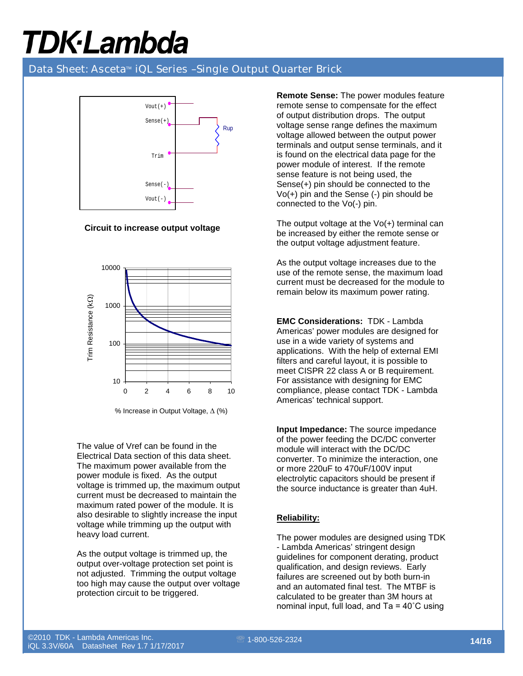### Data Sheet: Asceta<sup>™</sup> iQL Series -Single Output Quarter Brick



**Circuit to increase output voltage** 



<sup>%</sup> Increase in Output Voltage, ∆ (%)

The value of Vref can be found in the Electrical Data section of this data sheet. The maximum power available from the power module is fixed. As the output voltage is trimmed up, the maximum output current must be decreased to maintain the maximum rated power of the module. It is also desirable to slightly increase the input voltage while trimming up the output with heavy load current.

As the output voltage is trimmed up, the output over-voltage protection set point is not adjusted. Trimming the output voltage too high may cause the output over voltage protection circuit to be triggered.

**Remote Sense:** The power modules feature remote sense to compensate for the effect of output distribution drops. The output voltage sense range defines the maximum voltage allowed between the output power terminals and output sense terminals, and it is found on the electrical data page for the power module of interest. If the remote sense feature is not being used, the Sense(+) pin should be connected to the Vo(+) pin and the Sense (-) pin should be connected to the Vo(-) pin.

The output voltage at the Vo(+) terminal can be increased by either the remote sense or the output voltage adjustment feature.

As the output voltage increases due to the use of the remote sense, the maximum load current must be decreased for the module to remain below its maximum power rating.

**EMC Considerations:** TDK - Lambda Americas' power modules are designed for use in a wide variety of systems and applications. With the help of external EMI filters and careful layout, it is possible to meet CISPR 22 class A or B requirement. For assistance with designing for EMC compliance, please contact TDK - Lambda Americas' technical support.

**Input Impedance:** The source impedance of the power feeding the DC/DC converter module will interact with the DC/DC converter. To minimize the interaction, one or more 220uF to 470uF/100V input electrolytic capacitors should be present if the source inductance is greater than 4uH.

#### **Reliability:**

The power modules are designed using TDK - Lambda Americas' stringent design guidelines for component derating, product qualification, and design reviews. Early failures are screened out by both burn-in and an automated final test. The MTBF is calculated to be greater than 3M hours at nominal input, full load, and Ta = 40˚C using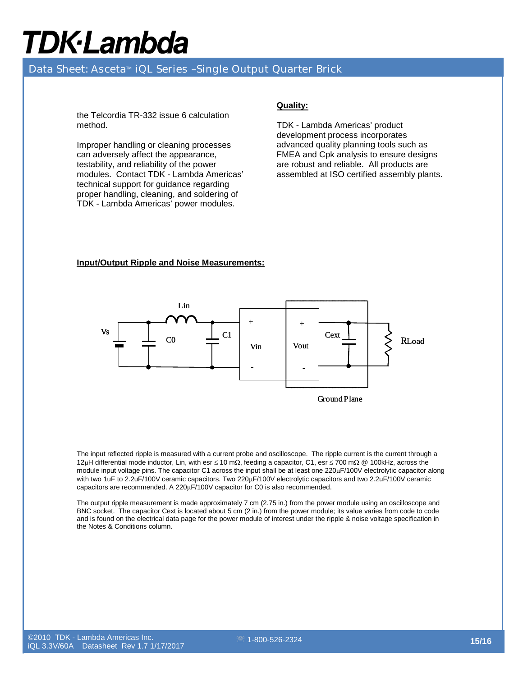### Data Sheet: Asceta<sup>™</sup> iQL Series -Single Output Quarter Brick

the Telcordia TR-332 issue 6 calculation method.

Improper handling or cleaning processes can adversely affect the appearance, testability, and reliability of the power modules. Contact TDK - Lambda Americas' technical support for guidance regarding proper handling, cleaning, and soldering of TDK - Lambda Americas' power modules.

#### **Quality:**

TDK - Lambda Americas' product development process incorporates advanced quality planning tools such as FMEA and Cpk analysis to ensure designs are robust and reliable. All products are assembled at ISO certified assembly plants.

#### **Input/Output Ripple and Noise Measurements:**



The input reflected ripple is measured with a current probe and oscilloscope. The ripple current is the current through a 12µH differential mode inductor, Lin, with esr ≤ 10 mΩ, feeding a capacitor, C1, esr ≤ 700 mΩ @ 100kHz, across the module input voltage pins. The capacitor C1 across the input shall be at least one 220µF/100V electrolytic capacitor along with two 1uF to 2.2uF/100V ceramic capacitors. Two 220µF/100V electrolytic capacitors and two 2.2uF/100V ceramic capacitors are recommended. A 220µF/100V capacitor for C0 is also recommended.

The output ripple measurement is made approximately 7 cm (2.75 in.) from the power module using an oscilloscope and BNC socket. The capacitor Cext is located about 5 cm (2 in.) from the power module; its value varies from code to code and is found on the electrical data page for the power module of interest under the ripple & noise voltage specification in the Notes & Conditions column.